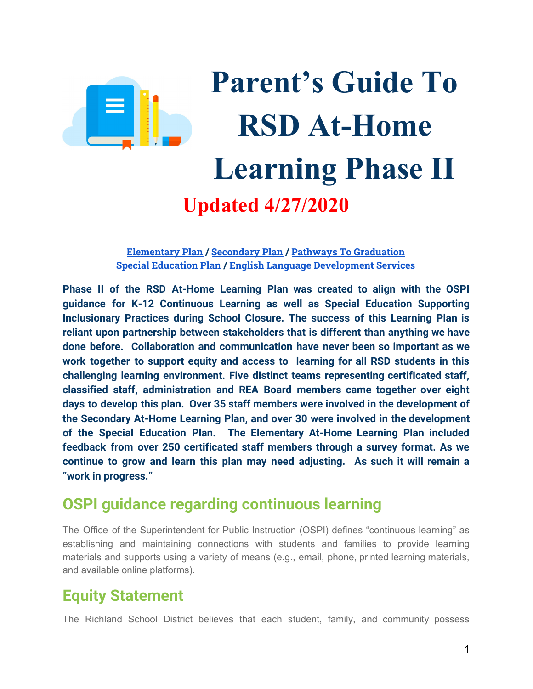

# **Parent's Guide To RSD At-Home Learning Phase II Updated 4/27/2020**

### **[Elementary](#page-1-0) Plan / [Secondary](#page-3-0) Plan / Pathways To [Graduation](#page-4-0) Special [Education](#page-5-0) Plan / English Language [Development](#page-8-0) Services**

**Phase II of the RSD At-Home Learning Plan was created to align with the OSPI guidance for K-12 Continuous Learning as well as Special Education Supporting Inclusionary Practices during School Closure. The success of this Learning Plan is reliant upon partnership between stakeholders that is different than anything we have done before. Collaboration and communication have never been so important as we work together to support equity and access to learning for all RSD students in this challenging learning environment. Five distinct teams representing certificated staff, classified staff, administration and REA Board members came together over eight days to develop this plan. Over 35 staff members were involved in the development of the Secondary At-Home Learning Plan, and over 30 were involved in the development of the Special Education Plan. The Elementary At-Home Learning Plan included feedback from over 250 certificated staff members through a survey format. As we continue to grow and learn this plan may need adjusting. As such it will remain a "work in progress."**

### **OSPI guidance regarding continuous learning**

The Office of the Superintendent for Public Instruction (OSPI) defines "continuous learning" as establishing and maintaining connections with students and families to provide learning materials and supports using a variety of means (e.g., email, phone, printed learning materials, and available online platforms).

### **Equity Statement**

The Richland School District believes that each student, family, and community possess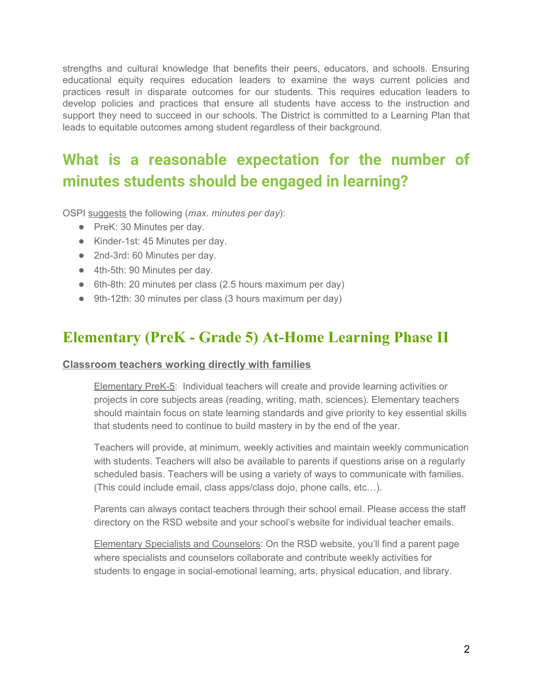strengths and cultural knowledge that benefits their peers, educators, and schools. Ensuring educational equity requires education leaders to examine the ways current policies and practices result in disparate outcomes for our students. This requires education leaders to develop policies and practices that ensure all students have access to the instruction and support they need to succeed in our schools. The District is committed to a Learning Plan that leads to equitable outcomes among student regardless of their background.

# **What is a reasonable expectation for the number of minutes students should be engaged in learning?**

OSPI suggests the following (*max. minutes per day*):

- PreK: 30 Minutes per day.
- Kinder-1st: 45 Minutes per day.
- 2nd-3rd: 60 Minutes per day.
- 4th-5th: 90 Minutes per day.
- 6th-8th: 20 minutes per class (2.5 hours maximum per day)
- <span id="page-1-0"></span>● 9th-12th: 30 minutes per class (3 hours maximum per day)

### **Elementary (PreK - Grade 5) At-Home Learning Phase II**

### **Classroom teachers working directly with families**

Elementary PreK-5: Individual teachers will create and provide learning activities or projects in core subjects areas (reading, writing, math, sciences). Elementary teachers should maintain focus on state learning standards and give priority to key essential skills that students need to continue to build mastery in by the end of the year.

Teachers will provide, at minimum, weekly activities and maintain weekly communication with students. Teachers will also be available to parents if questions arise on a regularly scheduled basis. Teachers will be using a variety of ways to communicate with families. (This could include email, class apps/class dojo, phone calls, etc…).

Parents can always contact teachers through their school email. Please access the staff directory on the RSD website and your school's website for individual teacher emails.

Elementary Specialists and Counselors: On the RSD website, you'll find a parent page where specialists and counselors collaborate and contribute weekly activities for students to engage in social-emotional learning, arts, physical education, and library.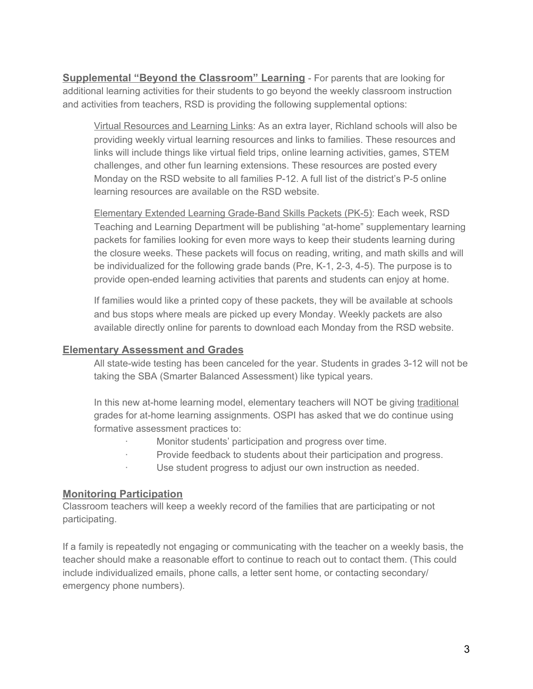**Supplemental "Beyond the Classroom" Learning** - For parents that are looking for additional learning activities for their students to go beyond the weekly classroom instruction and activities from teachers, RSD is providing the following supplemental options:

Virtual Resources and Learning Links: As an extra layer, Richland schools will also be providing weekly virtual learning resources and links to families. These resources and links will include things like virtual field trips, online learning activities, games, STEM challenges, and other fun learning extensions. These resources are posted every Monday on the RSD website to all families P-12. A full list of the district's P-5 online learning resources are available on the RSD website.

Elementary Extended Learning Grade-Band Skills Packets (PK-5): Each week, RSD Teaching and Learning Department will be publishing "at-home" supplementary learning packets for families looking for even more ways to keep their students learning during the closure weeks. These packets will focus on reading, writing, and math skills and will be individualized for the following grade bands (Pre, K-1, 2-3, 4-5). The purpose is to provide open-ended learning activities that parents and students can enjoy at home.

If families would like a printed copy of these packets, they will be available at schools and bus stops where meals are picked up every Monday. Weekly packets are also available directly online for parents to download each Monday from the RSD website.

### **Elementary Assessment and Grades**

All state-wide testing has been canceled for the year. Students in grades 3-12 will not be taking the SBA (Smarter Balanced Assessment) like typical years.

In this new at-home learning model, elementary teachers will NOT be giving traditional grades for at-home learning assignments. OSPI has asked that we do continue using formative assessment practices to:

- Monitor students' participation and progress over time.
- Provide feedback to students about their participation and progress.
- Use student progress to adjust our own instruction as needed.

### **Monitoring Participation**

Classroom teachers will keep a weekly record of the families that are participating or not participating.

If a family is repeatedly not engaging or communicating with the teacher on a weekly basis, the teacher should make a reasonable effort to continue to reach out to contact them. (This could include individualized emails, phone calls, a letter sent home, or contacting secondary/ emergency phone numbers).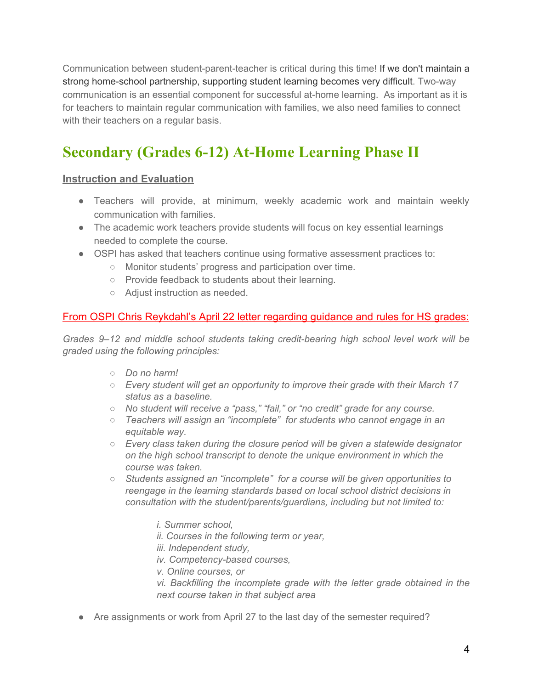Communication between student-parent-teacher is critical during this time! If we don't maintain a strong home-school partnership, supporting student learning becomes very difficult. Two-way communication is an essential component for successful at-home learning. As important as it is for teachers to maintain regular communication with families, we also need families to connect with their teachers on a regular basis.

# <span id="page-3-0"></span>**Secondary (Grades 6-12) At-Home Learning Phase II**

### **Instruction and Evaluation**

- Teachers will provide, at minimum, weekly academic work and maintain weekly communication with families.
- The academic work teachers provide students will focus on key essential learnings needed to complete the course.
- OSPI has asked that teachers continue using formative assessment practices to:
	- Monitor students' progress and participation over time.
	- Provide feedback to students about their learning.
	- Adjust instruction as needed.

### From OSPI Chris Reykdahl's April 22 letter regarding guidance and rules for HS grades:

*Grades 9–12 and middle school students taking credit-bearing high school level work will be graded using the following principles:*

- *○ Do no harm!*
- *○ Every student will get an opportunity to improve their grade with their March 17 status as a baseline.*
- *○ No student will receive a "pass," "fail," or "no credit" grade for any course.*
- *○ Teachers will assign an "incomplete" for students who cannot engage in an equitable way.*
- *○ Every class taken during the closure period will be given a statewide designator on the high school transcript to denote the unique environment in which the course was taken.*
- *○ Students assigned an "incomplete" for a course will be given opportunities to reengage in the learning standards based on local school district decisions in consultation with the student/parents/guardians, including but not limited to:*
	- *i. Summer school,*
	- *ii. Courses in the following term or year,*
	- *iii. Independent study,*
	- *iv. Competency-based courses,*
	- *v. Online courses, or*

*vi. Backfilling the incomplete grade with the letter grade obtained in the next course taken in that subject area*

● Are assignments or work from April 27 to the last day of the semester required?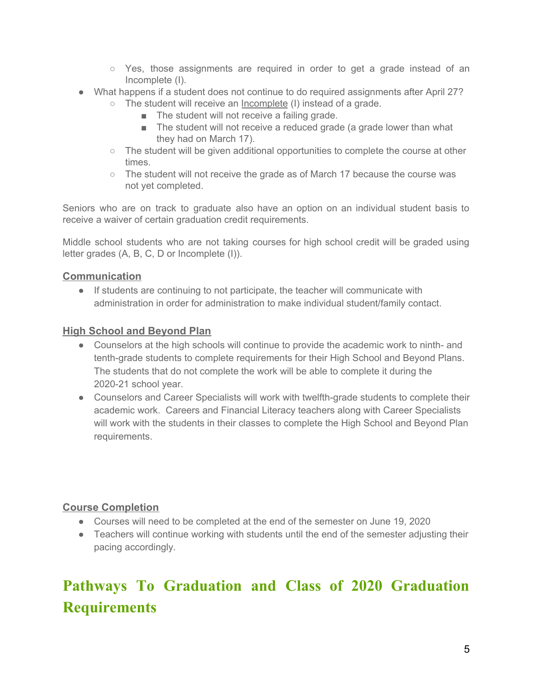- $\circ$  Yes, those assignments are required in order to get a grade instead of an Incomplete (I).
- What happens if a student does not continue to do required assignments after April 27?
	- $\circ$  The student will receive an Incomplete (I) instead of a grade.
		- The student will not receive a failing grade.
		- The student will not receive a reduced grade (a grade lower than what they had on March 17).
	- $\circ$  The student will be given additional opportunities to complete the course at other times.
	- $\circ$  The student will not receive the grade as of March 17 because the course was not yet completed.

Seniors who are on track to graduate also have an option on an individual student basis to receive a waiver of certain graduation credit requirements.

Middle school students who are not taking courses for high school credit will be graded using letter grades (A, B, C, D or Incomplete (I)).

### **Communication**

● If students are continuing to not participate, the teacher will communicate with administration in order for administration to make individual student/family contact.

### **High School and Beyond Plan**

- Counselors at the high schools will continue to provide the academic work to ninth- and tenth-grade students to complete requirements for their High School and Beyond Plans. The students that do not complete the work will be able to complete it during the 2020-21 school year.
- Counselors and Career Specialists will work with twelfth-grade students to complete their academic work. Careers and Financial Literacy teachers along with Career Specialists will work with the students in their classes to complete the High School and Beyond Plan requirements.

### **Course Completion**

- Courses will need to be completed at the end of the semester on June 19, 2020
- Teachers will continue working with students until the end of the semester adjusting their pacing accordingly.

# <span id="page-4-0"></span>**Pathways To Graduation and Class of 2020 Graduation Requirements**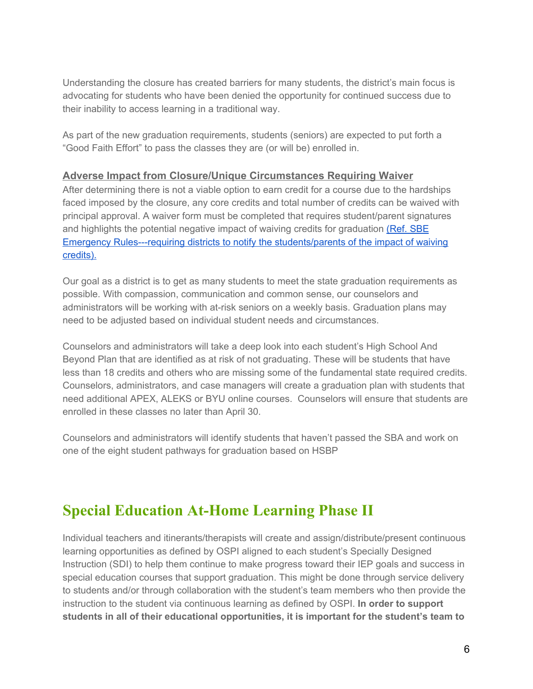Understanding the closure has created barriers for many students, the district's main focus is advocating for students who have been denied the opportunity for continued success due to their inability to access learning in a traditional way.

As part of the new graduation requirements, students (seniors) are expected to put forth a "Good Faith Effort" to pass the classes they are (or will be) enrolled in.

### **Adverse Impact from Closure/Unique Circumstances Requiring Waiver**

After determining there is not a viable option to earn credit for a course due to the hardships faced imposed by the closure, any core credits and total number of credits can be waived with principal approval. A waiver form must be completed that requires student/parent signatures and highlights the potential negative impact of waiving credits for graduation [\(Ref.](https://www.sbe.wa.gov/sites/default/files/public/meetings/Apr-2020/Exhibit%20A%20Emergency%20Rules.pdf) SBE Emergency [Rules---requiring](https://www.sbe.wa.gov/sites/default/files/public/meetings/Apr-2020/Exhibit%20A%20Emergency%20Rules.pdf) districts to notify the students/parents of the impact of waiving [credits\).](https://www.sbe.wa.gov/sites/default/files/public/meetings/Apr-2020/Exhibit%20A%20Emergency%20Rules.pdf)

Our goal as a district is to get as many students to meet the state graduation requirements as possible. With compassion, communication and common sense, our counselors and administrators will be working with at-risk seniors on a weekly basis. Graduation plans may need to be adjusted based on individual student needs and circumstances.

Counselors and administrators will take a deep look into each student's High School And Beyond Plan that are identified as at risk of not graduating. These will be students that have less than 18 credits and others who are missing some of the fundamental state required credits. Counselors, administrators, and case managers will create a graduation plan with students that need additional APEX, ALEKS or BYU online courses. Counselors will ensure that students are enrolled in these classes no later than April 30.

Counselors and administrators will identify students that haven't passed the SBA and work on one of the eight student pathways for graduation based on HSBP

### <span id="page-5-0"></span>**Special Education At-Home Learning Phase II**

Individual teachers and itinerants/therapists will create and assign/distribute/present continuous learning opportunities as defined by OSPI aligned to each student's Specially Designed Instruction (SDI) to help them continue to make progress toward their IEP goals and success in special education courses that support graduation. This might be done through service delivery to students and/or through collaboration with the student's team members who then provide the instruction to the student via continuous learning as defined by OSPI. **In order to support students in all of their educational opportunities, it is important for the student's team to**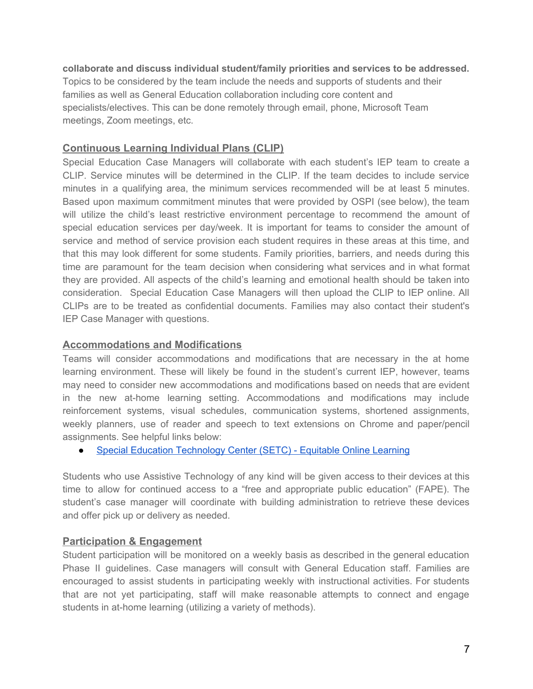#### **collaborate and discuss individual student/family priorities and services to be addressed.**

Topics to be considered by the team include the needs and supports of students and their families as well as General Education collaboration including core content and specialists/electives. This can be done remotely through email, phone, Microsoft Team meetings, Zoom meetings, etc.

### **Continuous Learning Individual Plans (CLIP)**

Special Education Case Managers will collaborate with each student's IEP team to create [a](https://drive.google.com/open?id=1ZLWuLSyHexq7E-NZhBomc_sU4-Lrep6U) [CLIP.](https://drive.google.com/open?id=1ZLWuLSyHexq7E-NZhBomc_sU4-Lrep6U) Service minutes will be determined in the CLIP. If the team decides to include service minutes in a qualifying area, the minimum services recommended will be at least 5 minutes. Based upon maximum commitment minutes that were provided by OSPI (see below), the team will utilize the child's least restrictive environment percentage to recommend the amount of special education services per day/week. It is important for teams to consider the amount of service and method of service provision each student requires in these areas at this time, and that this may look different for some students. Family priorities, barriers, and needs during this time are paramount for the team decision when considering what services and in what format they are provided. All aspects of the child's learning and emotional health should be taken into consideration. Special Education Case Managers will then upload the CLIP to IEP online. All CLIPs are to be treated as confidential documents. Families may also contact their student's IEP Case Manager with questions.

### **Accommodations and Modifications**

Teams will consider accommodations and modifications that are necessary in the at home learning environment. These will likely be found in the student's current IEP, however, teams may need to consider new accommodations and modifications based on needs that are evident in the new at-home learning setting. Accommodations and modifications may include reinforcement systems, visual schedules, communication systems, shortened assignments, weekly planners, use of reader and speech to text extensions on Chrome and paper/pencil assignments. See helpful links below:

● Special Education [Technology](https://sites.google.com/view/specialedtechcenter/equitable-distance-learning?authuser=0) Center (SETC) - Equitable Online Learning

Students who use Assistive Technology of any kind will be given access to their devices at this time to allow for continued access to a "free and appropriate public education" (FAPE). The student's case manager will coordinate with building administration to retrieve these devices and offer pick up or delivery as needed.

### **Participation & Engagement**

Student participation will be monitored on a weekly basis as described in the general education Phase II guidelines. Case managers will consult with General Education staff. Families are encouraged to assist students in participating weekly with instructional activities. For students that are not yet participating, staff will make reasonable attempts to connect and engage students in at-home learning (utilizing a variety of methods).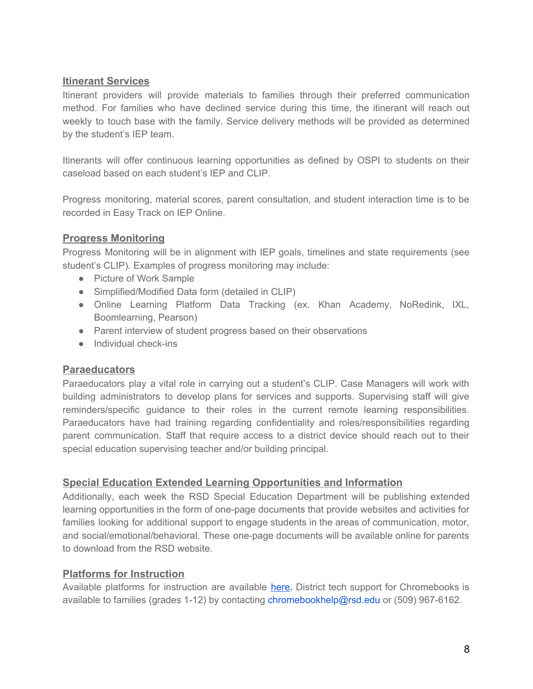### **Itinerant Services**

Itinerant providers will provide materials to families through their preferred communication method. For families who have declined service during this time, the itinerant will reach out weekly to touch base with the family. Service delivery methods will be provided as determined by the student's IEP team.

Itinerants will offer continuous learning opportunities as defined by OSPI to students on their caseload based on each student's IEP and CLIP.

Progress monitoring, material scores, parent consultation, and student interaction time is to be recorded in Easy Track on IEP Online.

### **Progress Monitoring**

Progress Monitoring will be in alignment with IEP goals, timelines and state requirements (see student's CLIP). Examples of progress monitoring may include:

- Picture of Work Sample
- Simplified/Modified Data form (detailed in CLIP)
- Online Learning Platform Data Tracking (ex. Khan Academy, NoRedink, IXL, Boomlearning, Pearson)
- Parent interview of student progress based on their observations
- Individual check-ins

### **Paraeducators**

Paraeducators play a vital role in carrying out a student's CLIP. Case Managers will work with building administrators to develop plans for services and supports. Supervising staff will give reminders/specific guidance to their roles in the current remote learning responsibilities. Paraeducators have had training regarding confidentiality and roles/responsibilities regarding parent communication. Staff that require access to a district device should reach out to their special education supervising teacher and/or building principal.

### **Special Education Extended Learning Opportunities and Information**

Additionally, each week the RSD Special Education Department will be publishing extended learning opportunities in the form of one-page documents that provide websites and activities for families looking for additional support to engage students in the areas of communication, motor, and social/emotional/behavioral. These one-page documents will be available online for parents to download from the RSD website.

### **Platforms for Instruction**

Available platforms for instruction are available [here](https://docs.google.com/document/d/1HWUsoRYeWYpazIzLR36VGH-ZuK4oGgQCH3no3Oh6NEE/view). District tech support for Chromebooks is available to families (grades 1-12) by contacting chromebookhelp@rsd.edu or (509) 967-6162.